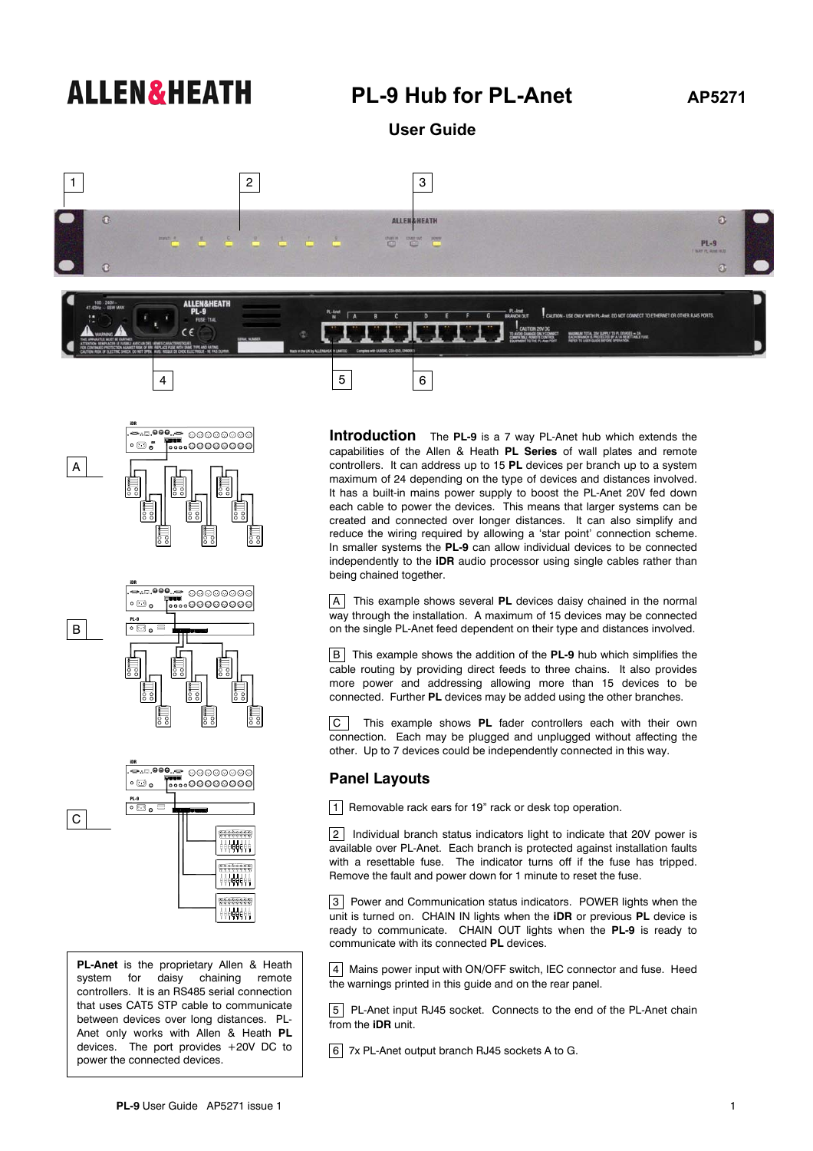## **ALLEN&HEATH** PL-9 Hub for PL-Anet AP5271

 **User Guide** 



 $4 \mid 5 \mid 6$ 



B





**PL-Anet** is the proprietary Allen & Heath system for daisy chaining remote controllers. It is an RS485 serial connection that uses CAT5 STP cable to communicate between devices over long distances. PL-Anet only works with Allen & Heath **PL** devices. The port provides +20V DC to power the connected devices.

**Introduction** The **PL-9** is a 7 way PL-Anet hub which extends the capabilities of the Allen & Heath **PL Series** of wall plates and remote controllers. It can address up to 15 **PL** devices per branch up to a system maximum of 24 depending on the type of devices and distances involved. It has a built-in mains power supply to boost the PL-Anet 20V fed down each cable to power the devices. This means that larger systems can be created and connected over longer distances. It can also simplify and reduce the wiring required by allowing a 'star point' connection scheme. In smaller systems the **PL-9** can allow individual devices to be connected independently to the **iDR** audio processor using single cables rather than being chained together.

 AThis example shows several **PL** devices daisy chained in the normal way through the installation. A maximum of 15 devices may be connected on the single PL-Anet feed dependent on their type and distances involved.

 BThis example shows the addition of the **PL-9** hub which simplifies the cable routing by providing direct feeds to three chains. It also provides more power and addressing allowing more than 15 devices to be connected. Further **PL** devices may be added using the other branches.

 CThis example shows **PL** fader controllers each with their own connection. Each may be plugged and unplugged without affecting the other. Up to 7 devices could be independently connected in this way.

## **Panel Layouts**

1Removable rack ears for 19" rack or desk top operation.

 2Individual branch status indicators light to indicate that 20V power is available over PL-Anet. Each branch is protected against installation faults with a resettable fuse. The indicator turns off if the fuse has tripped. Remove the fault and power down for 1 minute to reset the fuse.

 3Power and Communication status indicators. POWER lights when the unit is turned on. CHAIN IN lights when the **iDR** or previous **PL** device is ready to communicate. CHAIN OUT lights when the **PL-9** is ready to communicate with its connected **PL** devices.

 4Mains power input with ON/OFF switch, IEC connector and fuse. Heed the warnings printed in this guide and on the rear panel.

 5PL-Anet input RJ45 socket. Connects to the end of the PL-Anet chain from the **iDR** unit.

67x PL-Anet output branch RJ45 sockets A to G.